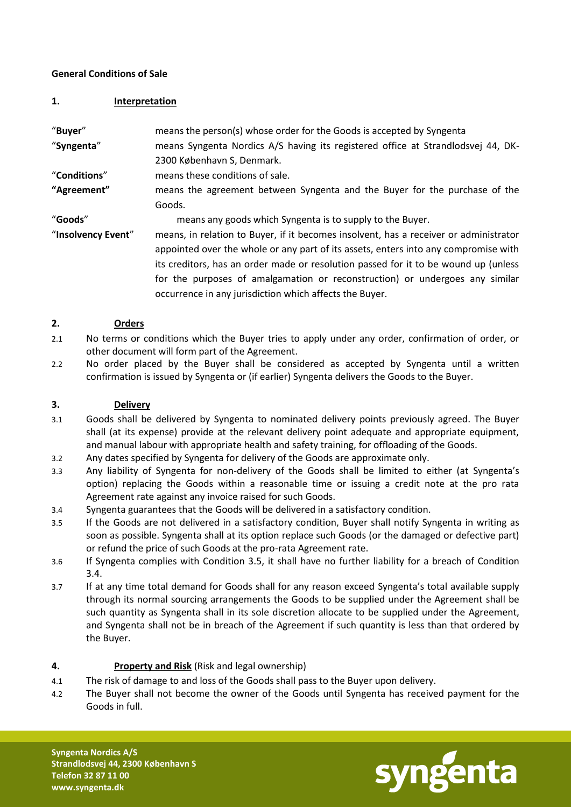### **General Conditions of Sale**

#### **1. Interpretation**

| "Buyer"            | means the person(s) whose order for the Goods is accepted by Syngenta                 |
|--------------------|---------------------------------------------------------------------------------------|
| "Syngenta"         | means Syngenta Nordics A/S having its registered office at Strandlodsvej 44, DK-      |
|                    | 2300 København S, Denmark.                                                            |
| "Conditions"       | means these conditions of sale.                                                       |
| "Agreement"        | means the agreement between Syngenta and the Buyer for the purchase of the            |
|                    | Goods.                                                                                |
| "Goods"            | means any goods which Syngenta is to supply to the Buyer.                             |
| "Insolvency Event" | means, in relation to Buyer, if it becomes insolvent, has a receiver or administrator |
|                    | appointed over the whole or any part of its assets, enters into any compromise with   |
|                    | its creditors, has an order made or resolution passed for it to be wound up (unless   |
|                    | for the purposes of amalgamation or reconstruction) or undergoes any similar          |
|                    | occurrence in any jurisdiction which affects the Buyer.                               |

#### **2. Orders**

- 2.1 No terms or conditions which the Buyer tries to apply under any order, confirmation of order, or other document will form part of the Agreement.
- 2.2 No order placed by the Buyer shall be considered as accepted by Syngenta until a written confirmation is issued by Syngenta or (if earlier) Syngenta delivers the Goods to the Buyer.

### **3. Delivery**

- 3.1 Goods shall be delivered by Syngenta to nominated delivery points previously agreed. The Buyer shall (at its expense) provide at the relevant delivery point adequate and appropriate equipment, and manual labour with appropriate health and safety training, for offloading of the Goods.
- 3.2 Any dates specified by Syngenta for delivery of the Goods are approximate only.
- 3.3 Any liability of Syngenta for non-delivery of the Goods shall be limited to either (at Syngenta's option) replacing the Goods within a reasonable time or issuing a credit note at the pro rata Agreement rate against any invoice raised for such Goods.
- 3.4 Syngenta guarantees that the Goods will be delivered in a satisfactory condition.
- 3.5 If the Goods are not delivered in a satisfactory condition, Buyer shall notify Syngenta in writing as soon as possible. Syngenta shall at its option replace such Goods (or the damaged or defective part) or refund the price of such Goods at the pro-rata Agreement rate.
- 3.6 If Syngenta complies with Condition 3.5, it shall have no further liability for a breach of Condition 3.4.
- 3.7 If at any time total demand for Goods shall for any reason exceed Syngenta's total available supply through its normal sourcing arrangements the Goods to be supplied under the Agreement shall be such quantity as Syngenta shall in its sole discretion allocate to be supplied under the Agreement, and Syngenta shall not be in breach of the Agreement if such quantity is less than that ordered by the Buyer.

## **4. Property and Risk** (Risk and legal ownership)

- 4.1 The risk of damage to and loss of the Goods shall pass to the Buyer upon delivery.
- 4.2 The Buyer shall not become the owner of the Goods until Syngenta has received payment for the Goods in full.



**Syngenta Nordics A/S Strandlodsvej 44, 2300 København S Telefon 32 87 11 00 www.syngenta.dk**